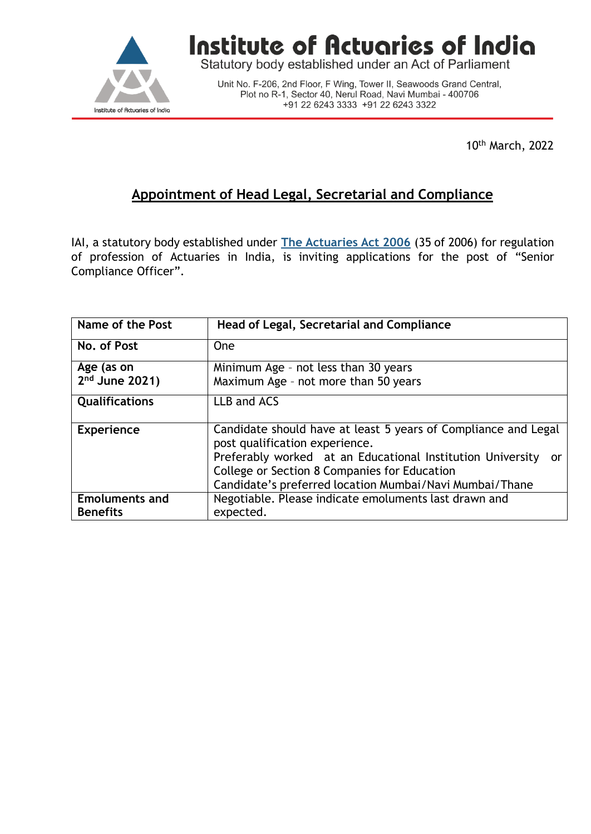

## Institute of Actuaries of India

Statutory body established under an Act of Parliament

Unit No. F-206, 2nd Floor, F Wing, Tower II, Seawoods Grand Central,<br>Plot no R-1, Sector 40, Nerul Road, Navi Mumbai - 400706 +91 22 6243 3333 +91 22 6243 3322

10th March, 2022

## **Appointment of Head Legal, Secretarial and Compliance**

IAI, a statutory body established under **The [Actuaries](http://www.actuariesindia.org/guidance/scanned%20GN.pdf) Act 2006** (35 of 2006) for regulation of profession of Actuaries in India, is inviting applications for the post of "Senior Compliance Officer".

| Name of the Post      | Head of Legal, Secretarial and Compliance                                                                                                                                          |
|-----------------------|------------------------------------------------------------------------------------------------------------------------------------------------------------------------------------|
|                       |                                                                                                                                                                                    |
| No. of Post           | <b>One</b>                                                                                                                                                                         |
| Age (as on            | Minimum Age - not less than 30 years                                                                                                                                               |
| $2nd$ June 2021)      | Maximum Age - not more than 50 years                                                                                                                                               |
| <b>Qualifications</b> | LLB and ACS                                                                                                                                                                        |
| <b>Experience</b>     | Candidate should have at least 5 years of Compliance and Legal<br>post qualification experience.                                                                                   |
|                       | Preferably worked at an Educational Institution University<br><u>or</u><br>College or Section 8 Companies for Education<br>Candidate's preferred location Mumbai/Navi Mumbai/Thane |
| <b>Emoluments and</b> | Negotiable. Please indicate emoluments last drawn and                                                                                                                              |
| <b>Benefits</b>       | expected.                                                                                                                                                                          |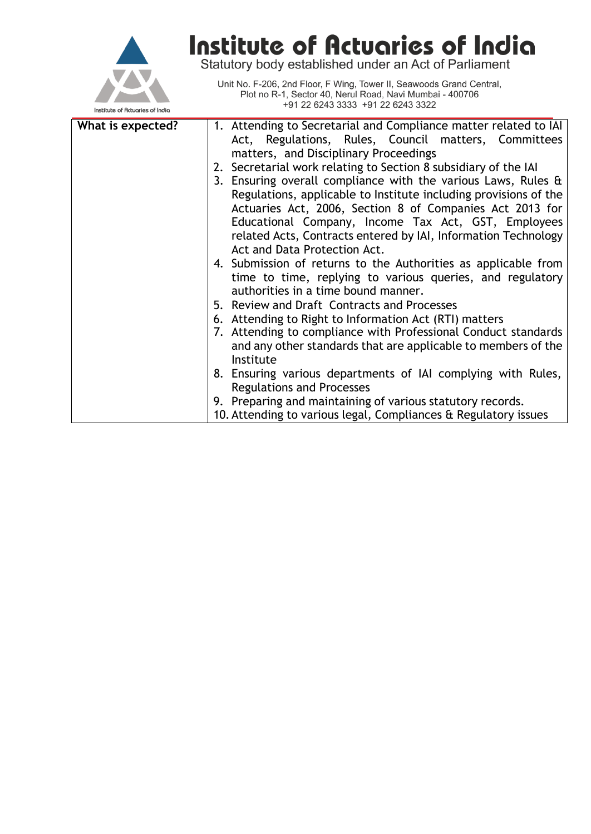

## **Institute of Actuaries of India**<br>Statutory body established under an Act of Parliament

Unit No. F-206, 2nd Floor, F Wing, Tower II, Seawoods Grand Central,<br>Plot no R-1, Sector 40, Nerul Road, Navi Mumbai - 400706 +91 22 6243 3333 +91 22 6243 3322

| What is expected? | 1. Attending to Secretarial and Compliance matter related to IAI |
|-------------------|------------------------------------------------------------------|
|                   | Act, Regulations, Rules, Council matters, Committees             |
|                   | matters, and Disciplinary Proceedings                            |
|                   | 2. Secretarial work relating to Section 8 subsidiary of the IAI  |
|                   | 3. Ensuring overall compliance with the various Laws, Rules &    |
|                   | Regulations, applicable to Institute including provisions of the |
|                   | Actuaries Act, 2006, Section 8 of Companies Act 2013 for         |
|                   | Educational Company, Income Tax Act, GST, Employees              |
|                   | related Acts, Contracts entered by IAI, Information Technology   |
|                   | Act and Data Protection Act.                                     |
|                   | 4. Submission of returns to the Authorities as applicable from   |
|                   | time to time, replying to various queries, and regulatory        |
|                   | authorities in a time bound manner.                              |
|                   | 5. Review and Draft Contracts and Processes                      |
|                   | 6. Attending to Right to Information Act (RTI) matters           |
|                   | 7. Attending to compliance with Professional Conduct standards   |
|                   | and any other standards that are applicable to members of the    |
|                   | Institute                                                        |
|                   | 8. Ensuring various departments of IAI complying with Rules,     |
|                   | <b>Regulations and Processes</b>                                 |
|                   | 9. Preparing and maintaining of various statutory records.       |
|                   | 10. Attending to various legal, Compliances & Regulatory issues  |